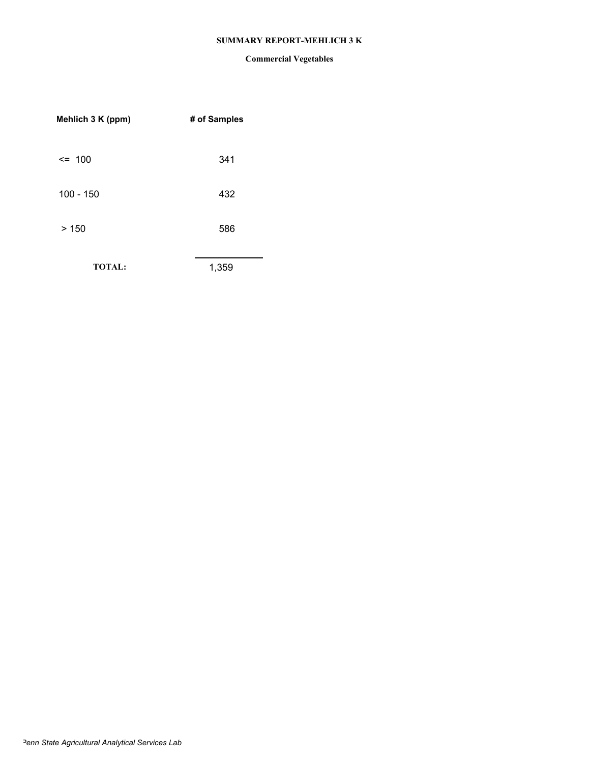## **SUMMARY REPORT-MEHLICH 3 K**

| # of Samples |
|--------------|
| 341          |
| 432          |
| 586          |
| 1,359        |
|              |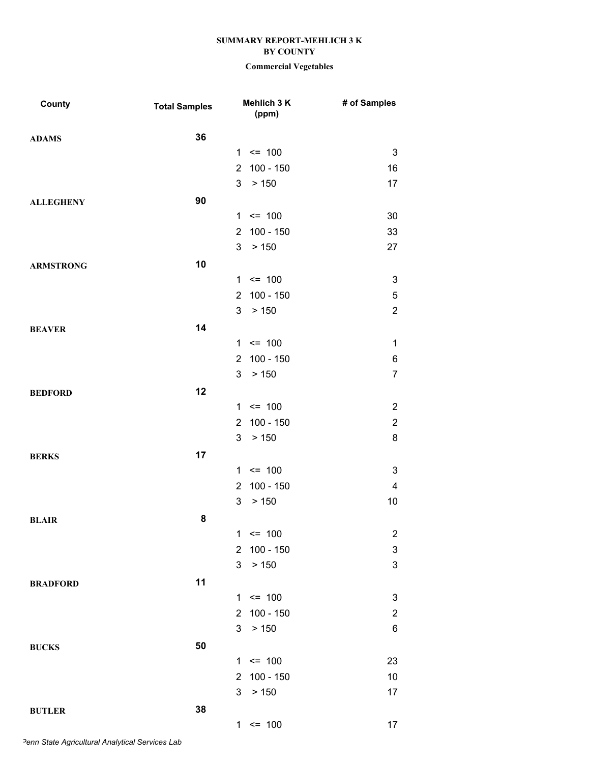# **Commercial Vegetables**

| County           | <b>Total Samples</b> |                | Mehlich 3 K<br>(ppm) | # of Samples              |
|------------------|----------------------|----------------|----------------------|---------------------------|
| <b>ADAMS</b>     | 36                   |                |                      |                           |
|                  |                      |                | $1 \le 100$          | $\ensuremath{\mathsf{3}}$ |
|                  |                      | $\overline{2}$ | $100 - 150$          | 16                        |
|                  |                      | 3 <sup>1</sup> | > 150                | 17                        |
| <b>ALLEGHENY</b> | 90                   |                |                      |                           |
|                  |                      |                | $1 \le 100$          | 30                        |
|                  |                      |                | 2 100 - 150          | 33                        |
|                  |                      | 3              | > 150                | 27                        |
| <b>ARMSTRONG</b> | 10                   |                |                      |                           |
|                  |                      |                | $1 \le 100$          | 3                         |
|                  |                      | $\overline{2}$ | $100 - 150$          | $\mathbf 5$               |
|                  |                      | 3 <sup>1</sup> | > 150                | $\overline{2}$            |
| <b>BEAVER</b>    | 14                   |                |                      |                           |
|                  |                      |                | $1 \le 100$          | $\mathbf 1$               |
|                  |                      |                | 2 100 - 150          | 6                         |
|                  |                      | 3              | > 150                | $\overline{7}$            |
| <b>BEDFORD</b>   | 12                   |                |                      |                           |
|                  |                      |                | $1 \le 100$          | $\overline{2}$            |
|                  |                      | $\overline{2}$ | 100 - 150            | $\overline{2}$            |
|                  |                      | 3              | > 150                | 8                         |
| <b>BERKS</b>     | 17                   |                |                      |                           |
|                  |                      |                | $1 \le 100$          | $\ensuremath{\mathsf{3}}$ |
|                  |                      | $\overline{2}$ | $100 - 150$          | $\overline{\mathcal{A}}$  |
|                  |                      | 3              | > 150                | 10                        |
| <b>BLAIR</b>     | 8                    |                |                      |                           |
|                  |                      | 1              | $= 100$              | $\overline{c}$            |
|                  |                      | $\overline{2}$ | $100 - 150$          | $\ensuremath{\mathsf{3}}$ |
|                  |                      | 3              | $>150$               | $\mathbf{3}$              |
| <b>BRADFORD</b>  | 11                   |                |                      |                           |
|                  |                      |                | $1 \le 100$          | 3                         |
|                  |                      | $\overline{2}$ | $100 - 150$          | $\overline{c}$            |
|                  |                      | 3 <sup>1</sup> | > 150                | 6                         |
| <b>BUCKS</b>     | 50                   |                |                      |                           |
|                  |                      | $\mathbf{1}$   | $= 100$              | 23                        |
|                  |                      | $\overline{2}$ | $100 - 150$          | 10                        |
|                  |                      | 3              | $>150$               | 17                        |
| <b>BUTLER</b>    | 38                   |                |                      |                           |
|                  |                      |                | $1 \le 100$          | 17                        |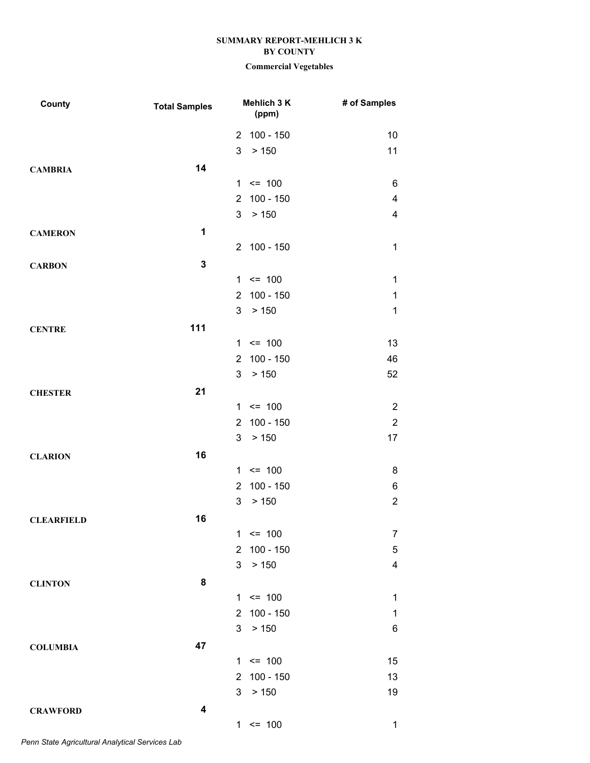# **Commercial Vegetables**

| County            | <b>Total Samples</b> | Mehlich 3 K<br>(ppm)       |             | # of Samples            |
|-------------------|----------------------|----------------------------|-------------|-------------------------|
|                   |                      | $\overline{2}$             | $100 - 150$ | 10                      |
|                   |                      | 3<br>> 150                 |             | 11                      |
| <b>CAMBRIA</b>    | 14                   |                            |             |                         |
|                   |                      | $= 100$<br>$\mathbf{1}$    |             | 6                       |
|                   |                      | $\overline{2}$             | $100 - 150$ | $\overline{\mathbf{4}}$ |
|                   |                      | > 150<br>3                 |             | $\overline{\mathbf{4}}$ |
| <b>CAMERON</b>    | 1                    |                            |             |                         |
|                   |                      | 2 100 - 150                |             | $\mathbf{1}$            |
| <b>CARBON</b>     | $\mathbf 3$          |                            |             |                         |
|                   |                      | $1 \le 100$                |             | $\mathbf 1$             |
|                   |                      | $\overline{2}$             | $100 - 150$ | $\mathbf{1}$            |
|                   |                      | 3<br>> 150                 |             | $\mathbf{1}$            |
| <b>CENTRE</b>     | 111                  |                            |             |                         |
|                   |                      | $1 \le 100$                |             | 13                      |
|                   |                      | $\overline{2}$             | $100 - 150$ | 46                      |
|                   |                      | 3<br>> 150                 |             | 52                      |
| <b>CHESTER</b>    | 21                   |                            |             |                         |
|                   |                      | $1 \le 100$                |             | $\sqrt{2}$              |
|                   |                      | $\overline{2}$             | $100 - 150$ | $\sqrt{2}$              |
|                   |                      | 3<br>> 150                 |             | 17                      |
| <b>CLARION</b>    | 16                   |                            |             |                         |
|                   |                      | $\leq$ 100<br>$\mathbf{1}$ |             | 8                       |
|                   |                      | $\overline{2}$             | $100 - 150$ | 6                       |
|                   |                      | > 150<br>3                 |             | $\overline{2}$          |
| <b>CLEARFIELD</b> | 16                   |                            |             |                         |
|                   |                      | $\mathbf{1}$<br>$= 100$    |             | $\overline{7}$          |
|                   |                      | $\overline{2}$             | $100 - 150$ | $\mathbf 5$             |
|                   |                      | 3<br>> 150                 |             | $\overline{\mathbf{4}}$ |
| <b>CLINTON</b>    | 8                    |                            |             |                         |
|                   |                      | $1 \le 100$                |             | $\mathbf 1$             |
|                   |                      | $\overline{2}$             | $100 - 150$ | $\mathbf 1$             |
|                   |                      | 3<br>> 150                 |             | 6                       |
| <b>COLUMBIA</b>   | 47                   |                            |             |                         |
|                   |                      | $= 100$<br>$\mathbf{1}$    |             | 15                      |
|                   |                      | $\overline{2}$             | $100 - 150$ | 13                      |
|                   |                      | > 150<br>3                 |             | 19                      |
| <b>CRAWFORD</b>   | 4                    |                            |             |                         |
|                   |                      | $1 \le 100$                |             | $\mathbf{1}$            |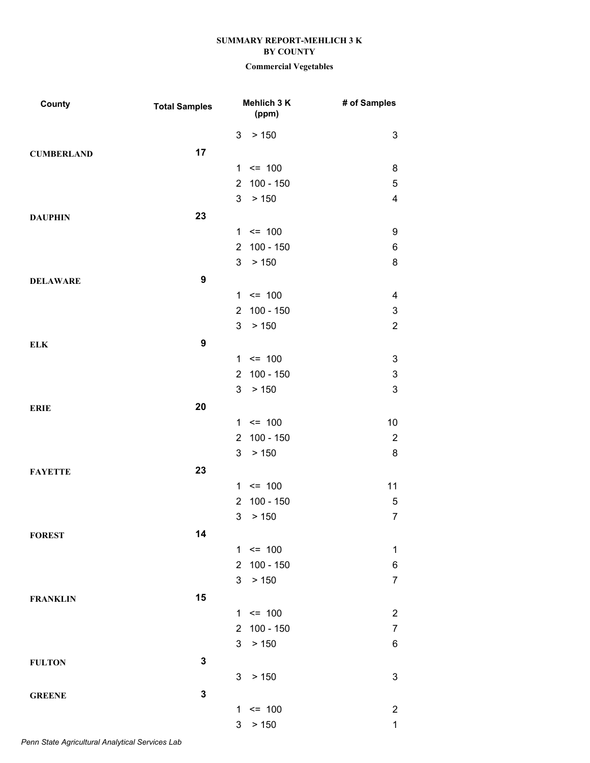# **Commercial Vegetables**

| County            | <b>Total Samples</b> | Mehlich 3 K<br>(ppm)          | # of Samples              |
|-------------------|----------------------|-------------------------------|---------------------------|
|                   |                      | 3<br>> 150                    | $\ensuremath{\mathsf{3}}$ |
| <b>CUMBERLAND</b> | 17                   |                               |                           |
|                   |                      | $1 \le 100$                   | 8                         |
|                   |                      | $100 - 150$<br>$\overline{2}$ | $\sqrt{5}$                |
|                   |                      | 3<br>> 150                    | $\overline{\mathbf{4}}$   |
| <b>DAUPHIN</b>    | 23                   |                               |                           |
|                   |                      | $1 \le 100$                   | 9                         |
|                   |                      | $100 - 150$<br>$\overline{2}$ | $\,6$                     |
|                   |                      | 3<br>> 150                    | $\bf 8$                   |
| <b>DELAWARE</b>   | $\boldsymbol{9}$     |                               |                           |
|                   |                      | $1 \le 100$                   | 4                         |
|                   |                      | 100 - 150<br>$2^{\circ}$      | $\ensuremath{\mathsf{3}}$ |
|                   |                      | 3<br>> 150                    | $\overline{2}$            |
| <b>ELK</b>        | $\boldsymbol{9}$     |                               |                           |
|                   |                      | $1 \le 100$                   | 3                         |
|                   |                      | $100 - 150$<br>$\overline{2}$ | $\ensuremath{\mathsf{3}}$ |
|                   |                      | > 150<br>3                    | $\mathbf 3$               |
| <b>ERIE</b>       | 20                   |                               |                           |
|                   |                      | $1 \le 100$                   | 10                        |
|                   |                      | $100 - 150$<br>$\overline{2}$ | $\sqrt{2}$                |
|                   |                      | 3<br>> 150                    | $\bf 8$                   |
| <b>FAYETTE</b>    | 23                   |                               |                           |
|                   |                      | $1 \le 100$                   | 11                        |
|                   |                      | $100 - 150$<br>$\overline{2}$ | $\mathbf 5$               |
|                   |                      | 3<br>> 150                    | $\boldsymbol{7}$          |
| <b>FOREST</b>     | 14                   |                               |                           |
|                   |                      | $1 \le 100$                   | 1                         |
|                   |                      | $\overline{2}$<br>$100 - 150$ | $\,6$                     |
|                   |                      | 3<br>> 150                    | $\overline{7}$            |
| <b>FRANKLIN</b>   | 15                   |                               |                           |
|                   |                      | $1 \le 100$                   | $\boldsymbol{2}$          |
|                   |                      | 2 100 - 150                   | $\boldsymbol{7}$          |
|                   |                      | 3<br>> 150                    | 6                         |
| <b>FULTON</b>     | 3                    |                               |                           |
|                   |                      | 3<br>> 150                    | $\ensuremath{\mathsf{3}}$ |
|                   | 3                    |                               |                           |
| <b>GREENE</b>     |                      | 1<br>$= 100$                  | $\overline{c}$            |
|                   |                      | > 150<br>$\mathbf{3}$         | $\mathbf 1$               |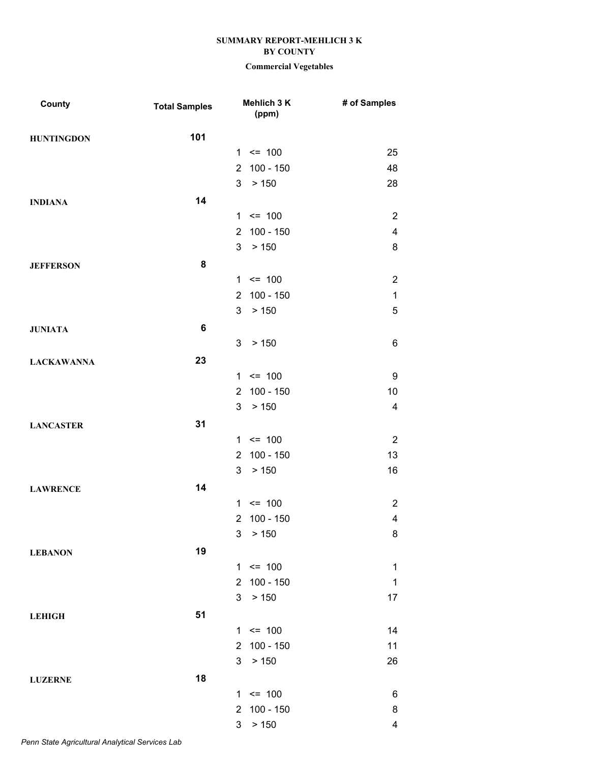| 101<br><b>HUNTINGDON</b><br>$1 \le 100$<br>25<br>$100 - 150$<br>48<br>2 <sup>1</sup><br>3 > 150<br>28<br>14<br><b>INDIANA</b><br>$1 \le 100$<br>$\overline{2}$<br>2 100 - 150<br>$\overline{\mathbf{4}}$<br>3 <sup>7</sup><br>> 150<br>8<br>8<br><b>JEFFERSON</b><br>$\sqrt{2}$<br>$1 \le 100$<br>$100 - 150$<br>$\mathbf 1$<br>$\overline{2}$<br>3 <sup>1</sup><br>$\sqrt{5}$<br>> 150<br>$6\phantom{1}6$<br><b>JUNIATA</b><br>3<br>6<br>> 150<br>23<br><b>LACKAWANNA</b><br>$1 \le 100$<br>9<br>2 100 - 150<br>10<br>3<br>> 150<br>$\overline{4}$<br>31<br><b>LANCASTER</b><br>$\overline{2}$<br>$1 \le 100$<br>$100 - 150$<br>13<br>$\overline{2}$<br>3<br>> 150<br>16<br>14<br><b>LAWRENCE</b> |
|----------------------------------------------------------------------------------------------------------------------------------------------------------------------------------------------------------------------------------------------------------------------------------------------------------------------------------------------------------------------------------------------------------------------------------------------------------------------------------------------------------------------------------------------------------------------------------------------------------------------------------------------------------------------------------------------------|
|                                                                                                                                                                                                                                                                                                                                                                                                                                                                                                                                                                                                                                                                                                    |
|                                                                                                                                                                                                                                                                                                                                                                                                                                                                                                                                                                                                                                                                                                    |
|                                                                                                                                                                                                                                                                                                                                                                                                                                                                                                                                                                                                                                                                                                    |
|                                                                                                                                                                                                                                                                                                                                                                                                                                                                                                                                                                                                                                                                                                    |
|                                                                                                                                                                                                                                                                                                                                                                                                                                                                                                                                                                                                                                                                                                    |
|                                                                                                                                                                                                                                                                                                                                                                                                                                                                                                                                                                                                                                                                                                    |
|                                                                                                                                                                                                                                                                                                                                                                                                                                                                                                                                                                                                                                                                                                    |
|                                                                                                                                                                                                                                                                                                                                                                                                                                                                                                                                                                                                                                                                                                    |
|                                                                                                                                                                                                                                                                                                                                                                                                                                                                                                                                                                                                                                                                                                    |
|                                                                                                                                                                                                                                                                                                                                                                                                                                                                                                                                                                                                                                                                                                    |
|                                                                                                                                                                                                                                                                                                                                                                                                                                                                                                                                                                                                                                                                                                    |
|                                                                                                                                                                                                                                                                                                                                                                                                                                                                                                                                                                                                                                                                                                    |
|                                                                                                                                                                                                                                                                                                                                                                                                                                                                                                                                                                                                                                                                                                    |
|                                                                                                                                                                                                                                                                                                                                                                                                                                                                                                                                                                                                                                                                                                    |
|                                                                                                                                                                                                                                                                                                                                                                                                                                                                                                                                                                                                                                                                                                    |
|                                                                                                                                                                                                                                                                                                                                                                                                                                                                                                                                                                                                                                                                                                    |
|                                                                                                                                                                                                                                                                                                                                                                                                                                                                                                                                                                                                                                                                                                    |
|                                                                                                                                                                                                                                                                                                                                                                                                                                                                                                                                                                                                                                                                                                    |
|                                                                                                                                                                                                                                                                                                                                                                                                                                                                                                                                                                                                                                                                                                    |
|                                                                                                                                                                                                                                                                                                                                                                                                                                                                                                                                                                                                                                                                                                    |
|                                                                                                                                                                                                                                                                                                                                                                                                                                                                                                                                                                                                                                                                                                    |
|                                                                                                                                                                                                                                                                                                                                                                                                                                                                                                                                                                                                                                                                                                    |
|                                                                                                                                                                                                                                                                                                                                                                                                                                                                                                                                                                                                                                                                                                    |
| $1 \le 100$<br>$\overline{2}$                                                                                                                                                                                                                                                                                                                                                                                                                                                                                                                                                                                                                                                                      |
| $\overline{\mathbf{4}}$<br>100 - 150<br>$\overline{2}$                                                                                                                                                                                                                                                                                                                                                                                                                                                                                                                                                                                                                                             |
| $\mathfrak{S}$<br>> 150<br>8                                                                                                                                                                                                                                                                                                                                                                                                                                                                                                                                                                                                                                                                       |
| 19<br><b>LEBANON</b>                                                                                                                                                                                                                                                                                                                                                                                                                                                                                                                                                                                                                                                                               |
| $1 \le 100$<br>$\mathbf 1$                                                                                                                                                                                                                                                                                                                                                                                                                                                                                                                                                                                                                                                                         |
| 100 - 150<br>$\mathbf 1$<br>$\overline{2}$                                                                                                                                                                                                                                                                                                                                                                                                                                                                                                                                                                                                                                                         |
| 3<br>> 150<br>17                                                                                                                                                                                                                                                                                                                                                                                                                                                                                                                                                                                                                                                                                   |
| 51<br><b>LEHIGH</b>                                                                                                                                                                                                                                                                                                                                                                                                                                                                                                                                                                                                                                                                                |
| $1 \le 100$<br>14                                                                                                                                                                                                                                                                                                                                                                                                                                                                                                                                                                                                                                                                                  |
| $100 - 150$<br>11<br>$\overline{2}$                                                                                                                                                                                                                                                                                                                                                                                                                                                                                                                                                                                                                                                                |
| 3<br>26<br>> 150                                                                                                                                                                                                                                                                                                                                                                                                                                                                                                                                                                                                                                                                                   |
| 18                                                                                                                                                                                                                                                                                                                                                                                                                                                                                                                                                                                                                                                                                                 |
| <b>LUZERNE</b><br>$= 100$<br>6<br>1.                                                                                                                                                                                                                                                                                                                                                                                                                                                                                                                                                                                                                                                               |
| 100 - 150<br>8<br>$\overline{2}$                                                                                                                                                                                                                                                                                                                                                                                                                                                                                                                                                                                                                                                                   |
| 3<br>> 150<br>4                                                                                                                                                                                                                                                                                                                                                                                                                                                                                                                                                                                                                                                                                    |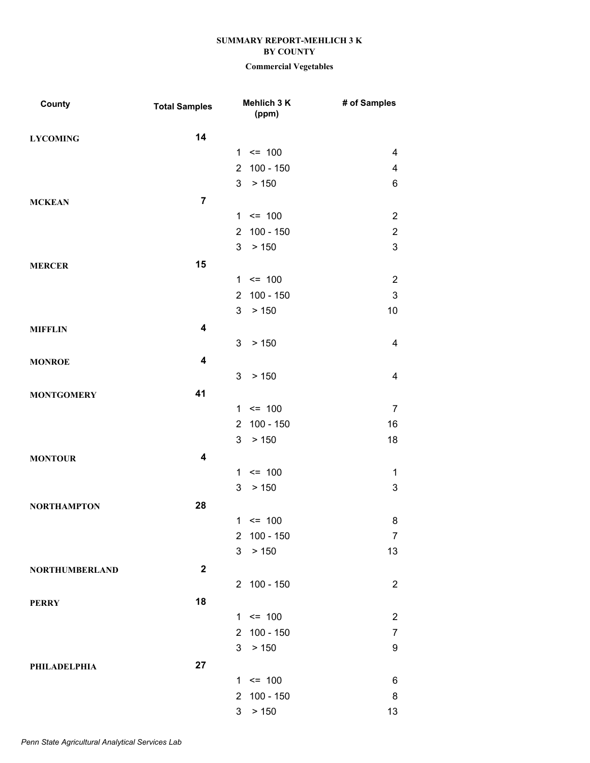| County                | <b>Total Samples</b>    | Mehlich 3 K<br>(ppm)          | # of Samples             |
|-----------------------|-------------------------|-------------------------------|--------------------------|
| <b>LYCOMING</b>       | 14                      |                               |                          |
|                       |                         | $1 \le 100$                   | $\overline{\mathcal{A}}$ |
|                       |                         | $100 - 150$<br>$\overline{2}$ | $\overline{\mathbf{4}}$  |
|                       |                         | 3 <sup>7</sup><br>> 150       | 6                        |
| <b>MCKEAN</b>         | $\overline{7}$          |                               |                          |
|                       |                         | $1 \le 100$                   | $\boldsymbol{2}$         |
|                       |                         | $100 - 150$<br>$\mathbf{2}$   | $\boldsymbol{2}$         |
|                       |                         | 3 <sup>1</sup><br>> 150       | $\mathbf{3}$             |
| <b>MERCER</b>         | 15                      |                               |                          |
|                       |                         | $1 \le 100$                   | $\sqrt{2}$               |
|                       |                         | $100 - 150$<br>$\overline{2}$ | $\mathbf{3}$             |
|                       |                         | 3<br>> 150                    | 10                       |
| <b>MIFFLIN</b>        | $\overline{\mathbf{4}}$ |                               |                          |
|                       |                         | 3<br>> 150                    | $\overline{\mathbf{4}}$  |
| <b>MONROE</b>         | $\overline{\mathbf{4}}$ |                               |                          |
|                       |                         | 3<br>> 150                    | $\overline{4}$           |
| <b>MONTGOMERY</b>     | 41                      |                               |                          |
|                       |                         | $= 100$<br>1                  | $\overline{7}$           |
|                       |                         | $100 - 150$<br>$\overline{2}$ | 16                       |
|                       |                         | 3 <sup>7</sup><br>> 150       | 18                       |
| <b>MONTOUR</b>        | $\overline{\mathbf{4}}$ |                               |                          |
|                       |                         | $= 100$<br>1                  | $\mathbf 1$              |
|                       |                         | 3<br>> 150                    | $\sqrt{3}$               |
| <b>NORTHAMPTON</b>    | 28                      |                               |                          |
|                       |                         | $1 \le 100$                   | 8                        |
|                       |                         | $100 - 150$<br>$\overline{2}$ | $\overline{7}$           |
|                       |                         | 3<br>> 150                    | 13                       |
|                       | $\mathbf{2}$            |                               |                          |
| <b>NORTHUMBERLAND</b> |                         | 2 100 - 150                   | $\overline{2}$           |
|                       | 18                      |                               |                          |
| <b>PERRY</b>          |                         | $1 \le 100$                   | $\overline{2}$           |
|                       |                         | $100 - 150$<br>$\overline{2}$ | $\boldsymbol{7}$         |
|                       |                         | 3<br>> 150                    | $\boldsymbol{9}$         |
|                       |                         |                               |                          |
| PHILADELPHIA          | 27                      | $1 \le 100$                   | 6                        |
|                       |                         | $100 - 150$<br>$\overline{2}$ | 8                        |
|                       |                         | 3<br>> 150                    | 13                       |
|                       |                         |                               |                          |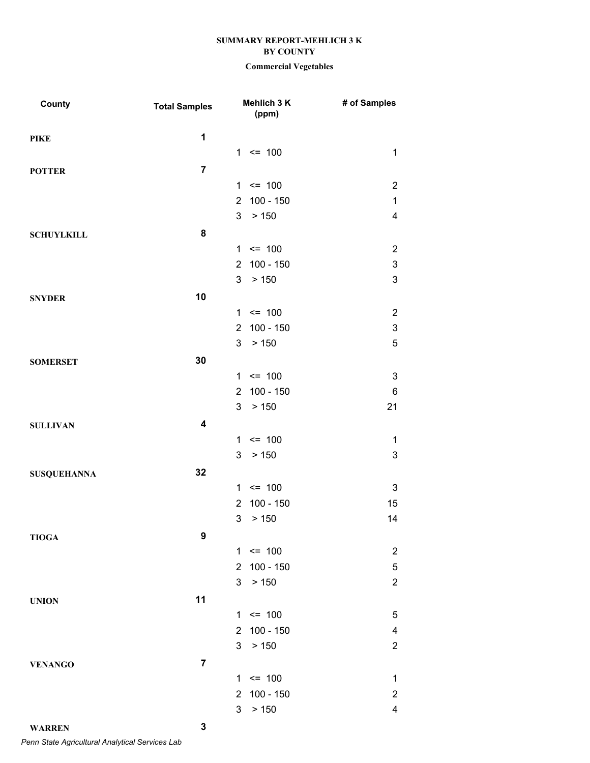# **Commercial Vegetables**

| County             | <b>Total Samples</b>    | Mehlich 3 K<br>(ppm)          | # of Samples              |
|--------------------|-------------------------|-------------------------------|---------------------------|
| <b>PIKE</b>        | 1                       |                               |                           |
|                    |                         | $1 \le 100$                   | $\mathbf{1}$              |
| <b>POTTER</b>      | $\overline{7}$          |                               |                           |
|                    |                         | $1 \le 100$                   | $\overline{2}$            |
|                    |                         | $100 - 150$<br>$\overline{2}$ | $\mathbf{1}$              |
|                    |                         | $\mathbf{3}$<br>> 150         | $\overline{\mathbf{4}}$   |
| <b>SCHUYLKILL</b>  | 8                       |                               |                           |
|                    |                         | $1 \le 100$                   | $\overline{c}$            |
|                    |                         | 2 100 - 150                   | $\ensuremath{\mathsf{3}}$ |
|                    |                         | $\mathbf{3}$<br>> 150         | $\sqrt{3}$                |
| <b>SNYDER</b>      | 10                      |                               |                           |
|                    |                         | $1 \le 100$                   | $\overline{2}$            |
|                    |                         | $100 - 150$<br>$\overline{2}$ | $\ensuremath{\mathsf{3}}$ |
|                    |                         | $3\overline{3}$<br>> 150      | $\sqrt{5}$                |
| <b>SOMERSET</b>    | 30                      |                               |                           |
|                    |                         | $1 \le 100$                   | $\ensuremath{\mathsf{3}}$ |
|                    |                         | 2 100 - 150                   | $\,6$                     |
|                    |                         | $3\overline{3}$<br>> 150      | 21                        |
| <b>SULLIVAN</b>    | $\overline{\mathbf{4}}$ |                               |                           |
|                    |                         | $1 \le 100$                   | $\mathbf{1}$              |
|                    |                         | $3\overline{3}$<br>> 150      | $\mathbf 3$               |
| <b>SUSQUEHANNA</b> | 32                      |                               |                           |
|                    |                         | $1 \le 100$                   | $\sqrt{3}$                |
|                    |                         | $100 - 150$<br>$\overline{2}$ | 15                        |
|                    |                         | 3<br>> 150                    | 14                        |
| <b>TIOGA</b>       | 9                       |                               |                           |
|                    |                         | $1 \le 100$                   | $\overline{c}$            |
|                    |                         | $\overline{2}$<br>$100 - 150$ | $\mathbf 5$               |
|                    |                         | 3<br>> 150                    | $\boldsymbol{2}$          |
| <b>UNION</b>       | 11                      |                               |                           |
|                    |                         | $= 100$<br>$\mathbf{1}$       | $\mathbf 5$               |
|                    |                         | $100 - 150$<br>$\overline{2}$ | 4                         |
|                    |                         | 3<br>> 150                    | $\overline{2}$            |
| <b>VENANGO</b>     | $\overline{\mathbf{7}}$ |                               |                           |
|                    |                         | $= 100$<br>1                  | $\mathbf 1$               |
|                    |                         | $100 - 150$<br>$\overline{2}$ | $\boldsymbol{2}$          |
|                    |                         | 3<br>> 150                    | $\overline{\mathbf{4}}$   |
| <b>WARREN</b>      | 3                       |                               |                           |